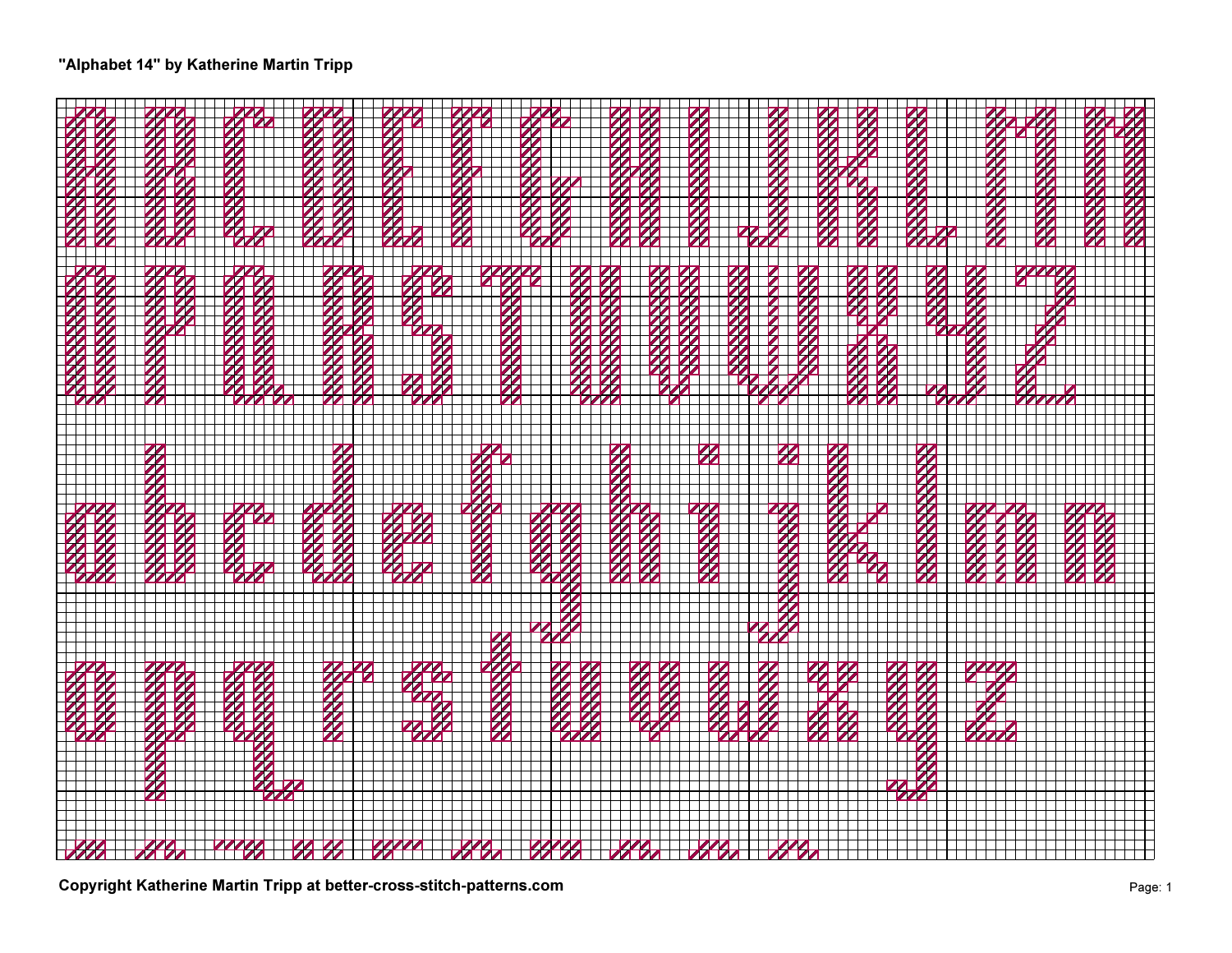## "Alphabet 14" by Katherine Martin Tripp

| $\overline{\mathbf{z}}$ |  |  |  |  |  |  |  |  |  |  |  |  |  |  |  |  |  |  |  |
|-------------------------|--|--|--|--|--|--|--|--|--|--|--|--|--|--|--|--|--|--|--|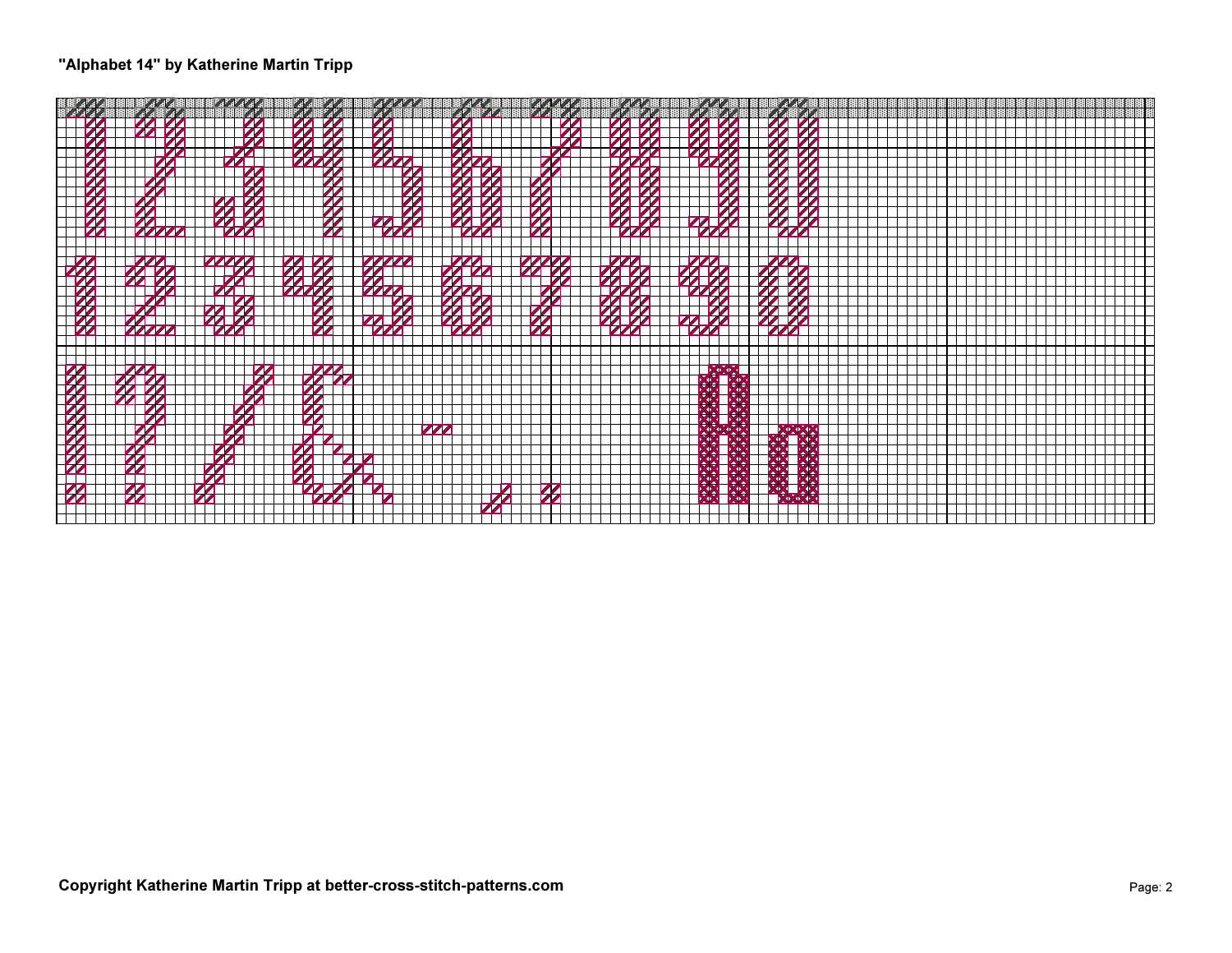## "Alphabet 14" by Katherine Martin Tripp

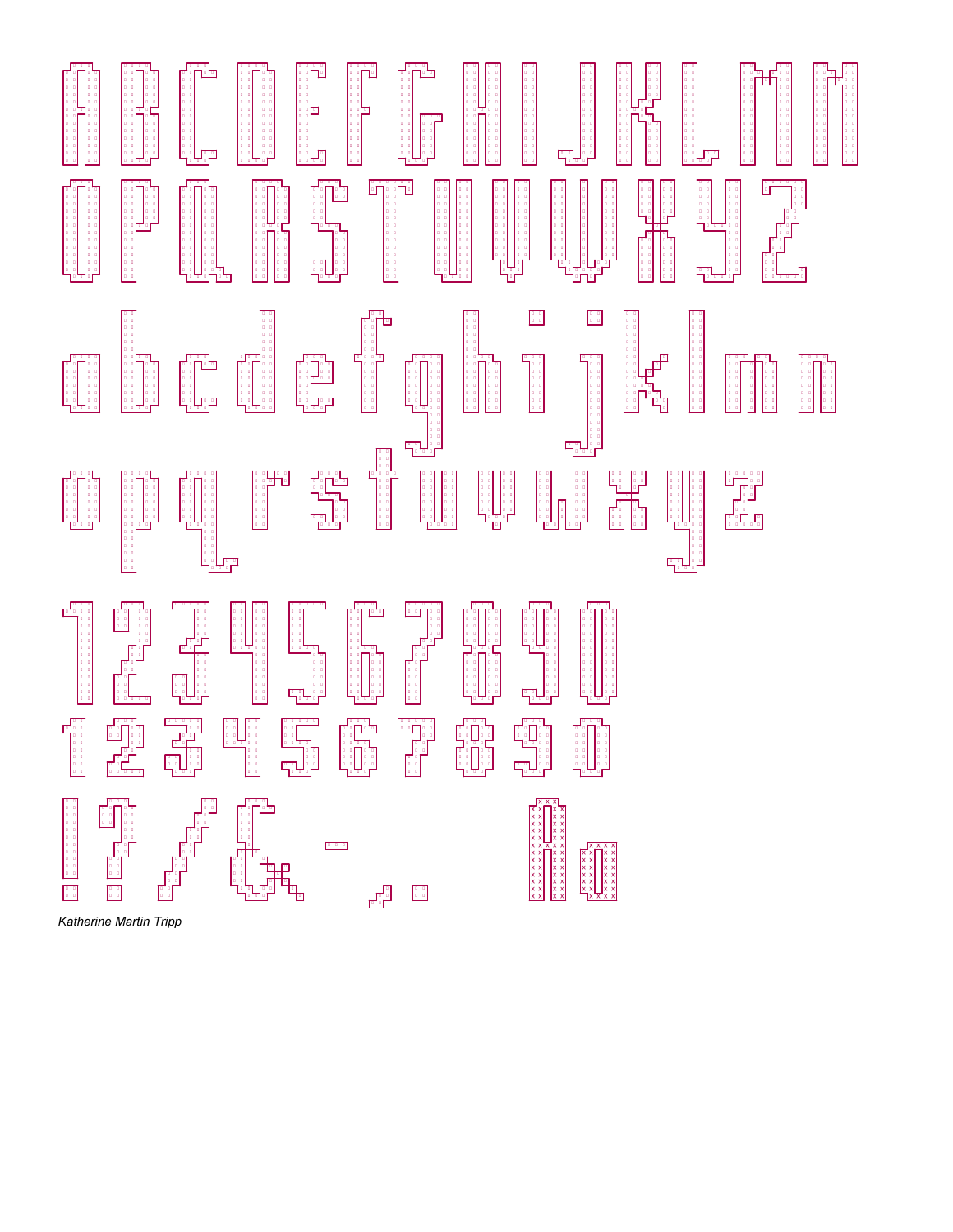